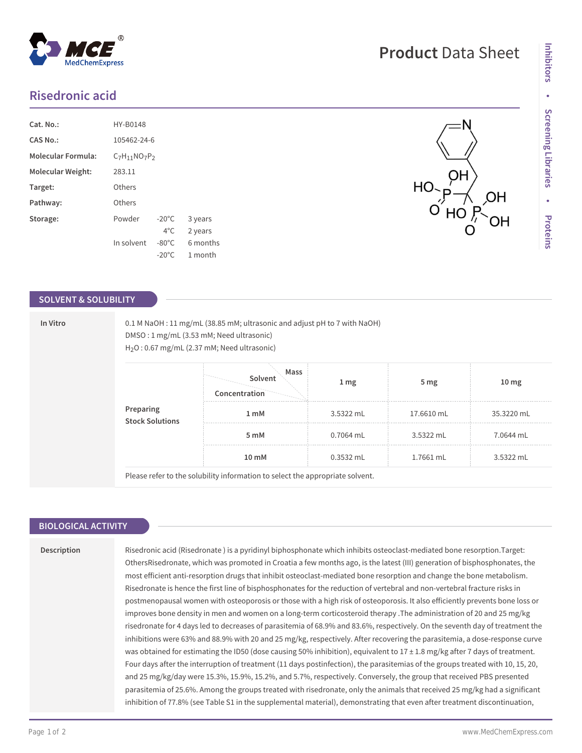# **Risedronic acid**

| Cat. No.:                 | HY-B0148           |                 |          |  |
|---------------------------|--------------------|-----------------|----------|--|
| CAS No.:                  | 105462-24-6        |                 |          |  |
| <b>Molecular Formula:</b> | $C_7H_{11}NO_7P_2$ |                 |          |  |
| Molecular Weight:         | 283.11             |                 |          |  |
| Target:                   | Others             |                 |          |  |
| Pathway:                  | Others             |                 |          |  |
| Storage:                  | Powder             | $-20^{\circ}$ C | 3 years  |  |
|                           |                    | $4^{\circ}$ C   | 2 years  |  |
|                           | In solvent         | $-80^{\circ}$ C | 6 months |  |
|                           |                    | $-20^{\circ}$ C | 1 month  |  |

### **SOLVENT & SOLUBILITY**

**In Vitro** 0.1 M NaOH : 11 mg/mL (38.85 mM; ultrasonic and adjust pH to 7 with NaOH) DMSO : 1 mg/mL (3.53 mM; Need ultrasonic) H2O : 0.67 mg/mL (2.37 mM; Need ultrasonic)

| Preparing<br>Stock Solutions | Mass<br>Solvent<br>Concentration | 1 <sub>mg</sub> | 5 mg       | 10 <sub>mg</sub> |
|------------------------------|----------------------------------|-----------------|------------|------------------|
|                              | 1 <sub>m</sub> M                 | 3.5322 mL       | 17.6610 mL | 35.3220 mL       |
|                              | 5 mM                             | 0.7064 mL       | 3.5322 mL  | 7.0644 mL        |
|                              | 10 mM                            | 0.3532 mL       | 1.7661 mL  | 3.5322 mL        |

Please refer to the solubility information to select the appropriate solvent.

### **BIOLOGICAL ACTIVITY**

#### **Description**

Risedronic acid (Risedronate ) is a pyridinyl biphosphonate which inhibits osteoclast-mediated bone resorption.Target: OthersRisedronate, which was promoted in Croatia a few months ago, is the latest (III) generation of bisphosphonates, the most efficient anti-resorption drugs that inhibit osteoclast-mediated bone resorption and change the bone metabolism. Risedronate is hence the first line of bisphosphonates for the reduction of vertebral and non-vertebral fracture risks in postmenopausal women with osteoporosis or those with a high risk of osteoporosis. It also efficiently prevents bone loss or improves bone density in men and women on a long-term corticosteroid therapy .The administration of 20 and 25 mg/kg risedronate for 4 days led to decreases of parasitemia of 68.9% and 83.6%, respectively. On the seventh day of treatment the inhibitions were 63% and 88.9% with 20 and 25 mg/kg, respectively. After recovering the parasitemia, a dose-response curve was obtained for estimating the ID50 (dose causing 50% inhibition), equivalent to  $17 \pm 1.8$  mg/kg after 7 days of treatment. Four days after the interruption of treatment (11 days postinfection), the parasitemias of the groups treated with 10, 15, 20, and 25 mg/kg/day were 15.3%, 15.9%, 15.2%, and 5.7%, respectively. Conversely, the group that received PBS presented parasitemia of 25.6%. Among the groups treated with risedronate, only the animals that received 25 mg/kg had a significant inhibition of 77.8% (see Table S1 in the supplemental material), demonstrating that even after treatment discontinuation,

# **Product** Data Sheet